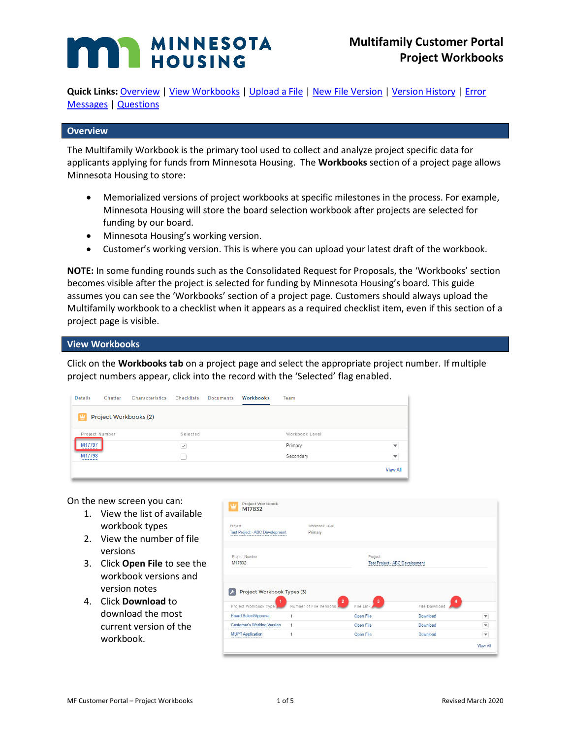# **MINNESOTA HOUSING**

Quick Links: [Overview](#page-0-0) | [View Workbooks](#page-0-1) | [Upload a File](#page-1-0) | [New File Version](#page-1-1) | [Version History](#page-3-0) | Error [Messages](#page-3-1) [| Questions](#page-4-0)

#### <span id="page-0-0"></span>**Overview**

The Multifamily Workbook is the primary tool used to collect and analyze project specific data for applicants applying for funds from Minnesota Housing. The **Workbooks** section of a project page allows Minnesota Housing to store:

- Memorialized versions of project workbooks at specific milestones in the process. For example, Minnesota Housing will store the board selection workbook after projects are selected for funding by our board.
- Minnesota Housing's working version.
- Customer's working version. This is where you can upload your latest draft of the workbook.

**NOTE:** In some funding rounds such as the Consolidated Request for Proposals, the 'Workbooks' section becomes visible after the project is selected for funding by Minnesota Housing's board. This guide assumes you can see the 'Workbooks' section of a project page. Customers should always upload the Multifamily workbook to a checklist when it appears as a required checklist item, even if this section of a project page is visible.

#### <span id="page-0-1"></span>**View Workbooks**

Click on the **Workbooks tab** on a project page and select the appropriate project number. If multiple project numbers appear, click into the record with the 'Selected' flag enabled.

| Details                     | Characteristics<br>Chatter | <b>Checklists</b> | <b>Documents</b> | Workbooks | Team           |                         |
|-----------------------------|----------------------------|-------------------|------------------|-----------|----------------|-------------------------|
| r                           | Project Workbooks (2)      |                   |                  |           |                |                         |
| Project Number              |                            | Selected          |                  |           | Workbook Level |                         |
| M17797<br>----------------- |                            | W                 |                  |           | Primary        | $\overline{\mathbf{v}}$ |
| M17798                      |                            |                   |                  |           | Secondary      | $\blacktriangledown$    |
|                             |                            |                   |                  |           |                | <b>View All</b>         |

On the new screen you can:

- 1. View the list of available workbook types
- 2. View the number of file versions
- 3. Click **Open File** to see the workbook versions and version notes
- 4. Click **Download** to download the most current version of the workbook.

| Project                                                                                    | Workbook Level                            |                           |                                       |                          |
|--------------------------------------------------------------------------------------------|-------------------------------------------|---------------------------|---------------------------------------|--------------------------|
| <b>Test Project - ABC Development</b>                                                      | Primary                                   |                           |                                       |                          |
| Project Number                                                                             |                                           | Project                   |                                       |                          |
|                                                                                            |                                           |                           | <b>Test Project - ABC Development</b> |                          |
| M17832                                                                                     |                                           |                           |                                       |                          |
| Project Workbook Types (3)<br>1                                                            | $\overline{2}$<br>Number of File Versions | $\mathbf{3}$<br>File Link | 4<br>File Download                    |                          |
|                                                                                            | 1                                         | Open File                 | Download                              | $\overline{\phantom{a}}$ |
| Project Workbook Type<br><b>Board Select/Approval</b><br><b>Customer's Working Version</b> | 1                                         | <b>Open File</b>          | Download                              | $\mathbf{v}$             |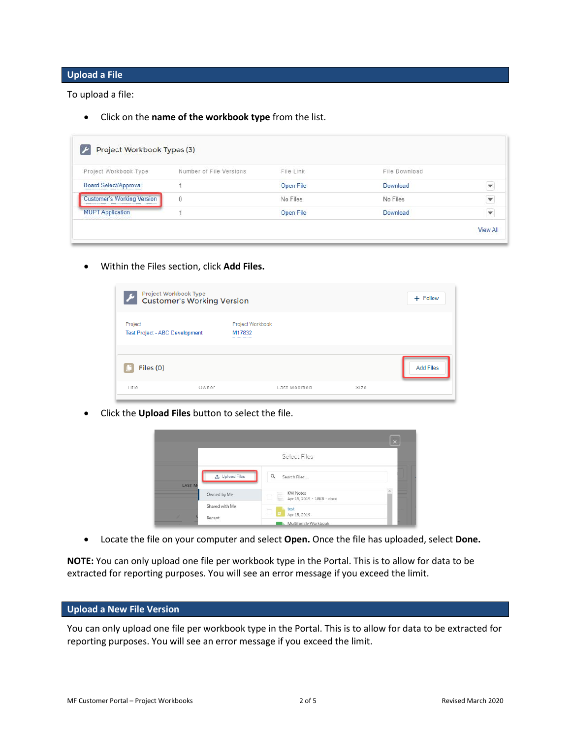#### <span id="page-1-0"></span>**Upload a File**

To upload a file:

• Click on the **name of the workbook type** from the list.

| Project Workbook Type:            | Number of File Versions | File Link | File Download |   |
|-----------------------------------|-------------------------|-----------|---------------|---|
| <b>Board Select/Approval</b>      |                         | Open File | Download      | v |
| <b>Customer's Working Version</b> | $\theta$                | No Files  | No Files      | v |
| <b>MUPT Application</b>           |                         | Open File | Download      | ٧ |

• Within the Files section, click **Add Files.**

| Project Workbook Type<br><b>Customer's Working Version</b><br>$\boldsymbol{\mathcal{L}}$ |  |                                                     |  |  | $+$ Follow       |
|------------------------------------------------------------------------------------------|--|-----------------------------------------------------|--|--|------------------|
| Project<br><b>Test Project - ABC Development</b>                                         |  | Project Workbook<br>M17832<br>--------------------- |  |  |                  |
| Files (0)                                                                                |  |                                                     |  |  | <b>Add Files</b> |
|                                                                                          |  |                                                     |  |  |                  |

• Click the **Upload Files** button to select the file.

|               |                       |                                                           | $\times$  |
|---------------|-----------------------|-----------------------------------------------------------|-----------|
|               |                       | Select Files                                              |           |
| <b>LAST M</b> | <b>①</b> Upload Files | Q<br>Search Files                                         |           |
| Owned by Me   |                       | $\frac{1}{2}$ KW Notes<br>Apr 15, 2019 - 18KB - docx<br>Ħ | $\lambda$ |
| Recent        | Shared with Me        | test<br>c<br>Е<br>Apr 15, 2019                            |           |
|               |                       | Multifamily Workbook                                      |           |

• Locate the file on your computer and select **Open.** Once the file has uploaded, select **Done.**

**NOTE:** You can only upload one file per workbook type in the Portal. This is to allow for data to be extracted for reporting purposes. You will see an error message if you exceed the limit.

#### <span id="page-1-1"></span>**Upload a New File Version**

You can only upload one file per workbook type in the Portal. This is to allow for data to be extracted for reporting purposes. You will see an error message if you exceed the limit.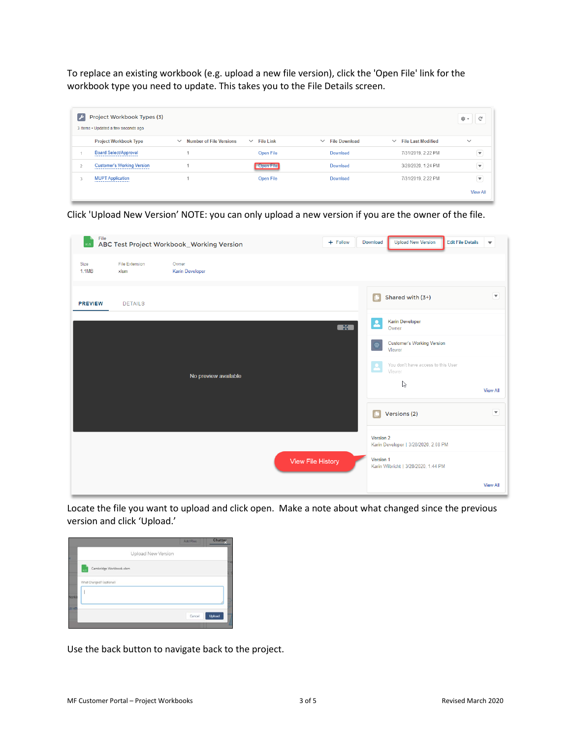To replace an existing workbook (e.g. upload a new file version), click the 'Open File' link for the workbook type you need to update. This takes you to the File Details screen.

| $\overline{\phantom{a}}$ | Project Workbook Types (3)<br>3 items . Updated a few seconds ago |                                                |                  |                                      |                                           | $\mathbb{C}^l$<br>Φ.≁    |
|--------------------------|-------------------------------------------------------------------|------------------------------------------------|------------------|--------------------------------------|-------------------------------------------|--------------------------|
|                          | <b>Project Workbook Type</b>                                      | <b>Number of File Versions</b><br>$\checkmark$ | $\vee$ File Link | <b>File Download</b><br>$\checkmark$ | <b>File Last Modified</b><br>$\checkmark$ | $\checkmark$             |
|                          | <b>Board Select/Approval</b>                                      |                                                | Open File        | Download                             | 7/31/2019, 2:22 PM                        | $\overline{\phantom{a}}$ |
| $\overline{ }$           | <b>Customer's Working Version</b>                                 |                                                | Open File        | Download                             | 3/28/2020, 1:24 PM                        | $\blacktriangledown$     |
| 3                        | <b>MUPT Application</b>                                           |                                                | Open File        | Download                             | 7/31/2019, 2:22 PM                        | $\overline{\phantom{0}}$ |
|                          |                                                                   |                                                |                  |                                      |                                           | <b>View All</b>          |

Click 'Upload New Version' NOTE: you can only upload a new version if you are the owner of the file.

| $x\in S$       |                               | File<br>ABC Test Project Workbook_Working Version | + Follow          | <b>Upload New Version</b><br><b>Edit File Details</b><br>Download | ▼                          |
|----------------|-------------------------------|---------------------------------------------------|-------------------|-------------------------------------------------------------------|----------------------------|
| Size<br>1.1MB  | <b>File Extension</b><br>xlsm | Owner<br><b>Karin Developer</b>                   |                   |                                                                   |                            |
| <b>PREVIEW</b> | <b>DETAILS</b>                |                                                   |                   | Shared with (3+)<br>G                                             | $\left( \mathbf{v}\right)$ |
|                |                               |                                                   | $\blacksquare$    | <b>Karin Developer</b><br>≗<br>Owner                              |                            |
|                |                               |                                                   |                   | <b>Customer's Working Version</b><br>Viewer                       |                            |
|                |                               | No preview available                              |                   | You don't have access to this User<br>Viewer                      |                            |
|                |                               |                                                   |                   | ß                                                                 | <b>View All</b>            |
|                |                               |                                                   |                   | Versions (2)                                                      | $\left( \mathbf{v}\right)$ |
|                |                               |                                                   |                   | Version 2<br>Karin Developer   3/28/2020, 2:08 PM                 |                            |
|                |                               |                                                   | View File History | Version 1<br>Karin Wilbricht   3/28/2020, 1:44 PM                 |                            |
|                |                               |                                                   |                   |                                                                   | <b>View All</b>            |

Locate the file you want to upload and click open. Make a note about what changed since the previous version and click 'Upload.'



Use the back button to navigate back to the project.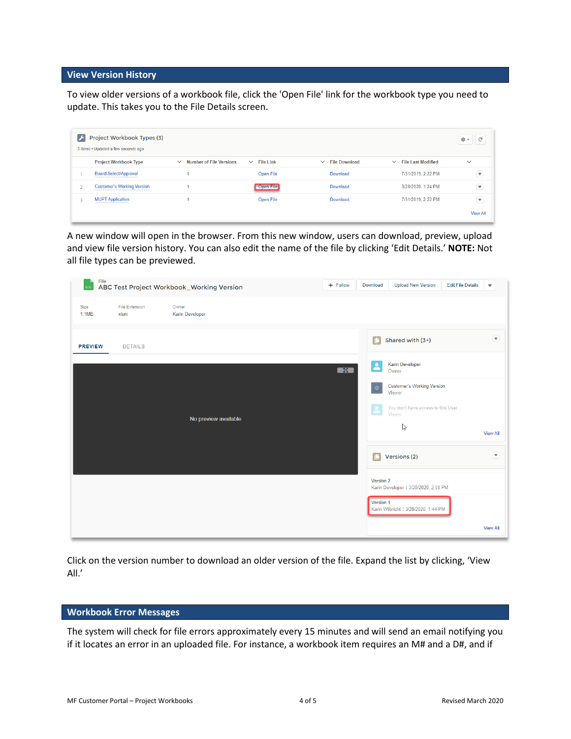#### <span id="page-3-0"></span>**View Version History**

To view older versions of a workbook file, click the 'Open File' link for the workbook type you need to update. This takes you to the File Details screen.

| $\mathcal{F}$ | Project Workbook Types (3)<br>3 items . Updated a few seconds ago |                                                |                                  |                                      |                                           | $\mathbb{C}^{\mathbb{I}}$<br>⊅ ত |
|---------------|-------------------------------------------------------------------|------------------------------------------------|----------------------------------|--------------------------------------|-------------------------------------------|----------------------------------|
|               | <b>Project Workbook Type</b>                                      | <b>Number of File Versions</b><br>$\checkmark$ | <b>File Link</b><br>$\checkmark$ | <b>File Download</b><br>$\checkmark$ | <b>File Last Modified</b><br>$\checkmark$ | $\checkmark$                     |
|               | <b>Board Select/Approval</b>                                      |                                                | Open File                        | Download                             | 7/31/2019, 2:22 PM                        | $\overline{\mathbf{v}}$          |
| $\sim$        | <b>Customer's Working Version</b>                                 |                                                | Open File                        | <b>Download</b>                      | 3/28/2020, 1:24 PM                        | $\overline{\mathbf{v}}$          |
| 3             | <b>MUPT Application</b>                                           |                                                | <b>Open File</b>                 | Download                             | 7/31/2019, 2:22 PM                        | $\blacktriangledown$             |
|               |                                                                   |                                                |                                  |                                      |                                           | <b>View All</b>                  |

A new window will open in the browser. From this new window, users can download, preview, upload and view file version history. You can also edit the name of the file by clicking 'Edit Details.' **NOTE:** Not all file types can be previewed.

| $x \in$              |                               | <sub>File</sub><br>ABC Test Project Workbook_Working Version | $+$ Follow     | Download     | <b>Upload New Version</b>                    | <b>Edit File Details</b> | $\overline{\mathbf{v}}$                                         |
|----------------------|-------------------------------|--------------------------------------------------------------|----------------|--------------|----------------------------------------------|--------------------------|-----------------------------------------------------------------|
| Size<br><b>1.1MB</b> | <b>File Extension</b><br>xlsm | Owner<br><b>Karin Developer</b>                              |                |              |                                              |                          |                                                                 |
| <b>PREVIEW</b>       | <b>DETAILS</b>                |                                                              |                | $\Box$       | Shared with (3+)                             |                          | $\left( \begin{matrix} \blacktriangledown \end{matrix} \right)$ |
|                      |                               |                                                              | $\blacksquare$ | 2            | <b>Karin Developer</b><br>Owner              |                          |                                                                 |
|                      |                               |                                                              |                | Φ            | <b>Customer's Working Version</b><br>Viewer  |                          |                                                                 |
|                      |                               | No preview available                                         |                | $\mathbf{2}$ | You don't have access to this User<br>Viewer |                          |                                                                 |
|                      |                               |                                                              |                |              | B                                            |                          | <b>View All</b>                                                 |
|                      |                               |                                                              |                | C            | Versions (2)                                 |                          | $\blacktriangledown$                                            |
|                      |                               |                                                              |                | Version 2    | Karin Developer   3/28/2020, 2:08 PM         |                          |                                                                 |
|                      |                               |                                                              |                | Version 1    | Karin Wilbricht   3/28/2020, 1:44 PM         |                          |                                                                 |
|                      |                               |                                                              |                |              |                                              |                          | <b>View All</b>                                                 |

Click on the version number to download an older version of the file. Expand the list by clicking, 'View All.'

#### <span id="page-3-1"></span>**Workbook Error Messages**

The system will check for file errors approximately every 15 minutes and will send an email notifying you if it locates an error in an uploaded file. For instance, a workbook item requires an M# and a D#, and if